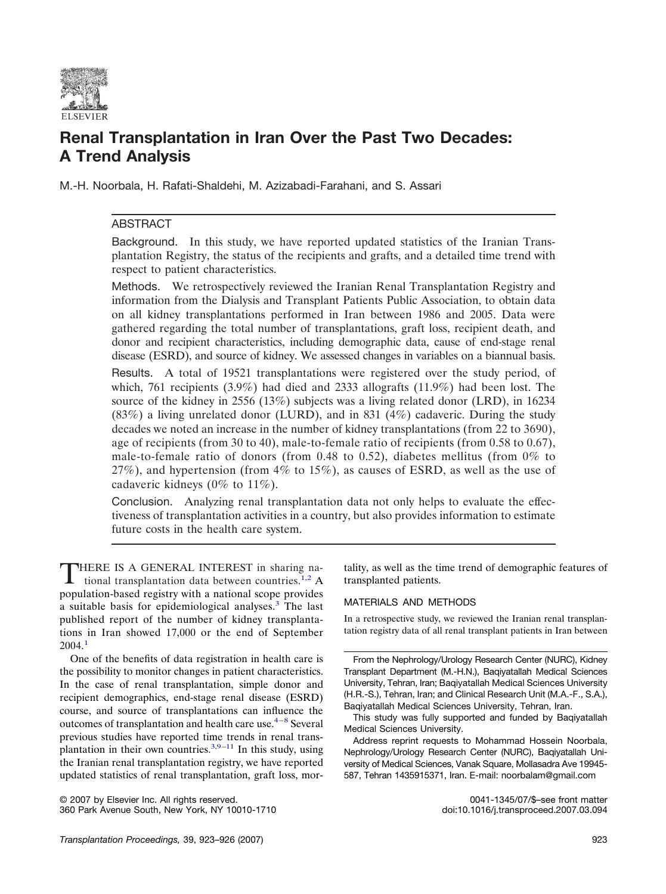

# **Renal Transplantation in Iran Over the Past Two Decades: A Trend Analysis**

M.-H. Noorbala, H. Rafati-Shaldehi, M. Azizabadi-Farahani, and S. Assari

## ABSTRACT

Background. In this study, we have reported updated statistics of the Iranian Transplantation Registry, the status of the recipients and grafts, and a detailed time trend with respect to patient characteristics.

Methods. We retrospectively reviewed the Iranian Renal Transplantation Registry and information from the Dialysis and Transplant Patients Public Association, to obtain data on all kidney transplantations performed in Iran between 1986 and 2005. Data were gathered regarding the total number of transplantations, graft loss, recipient death, and donor and recipient characteristics, including demographic data, cause of end-stage renal disease (ESRD), and source of kidney. We assessed changes in variables on a biannual basis.

Results. A total of 19521 transplantations were registered over the study period, of which, 761 recipients (3.9%) had died and 2333 allografts (11.9%) had been lost. The source of the kidney in 2556 (13%) subjects was a living related donor (LRD), in 16234 (83%) a living unrelated donor (LURD), and in 831 (4%) cadaveric. During the study decades we noted an increase in the number of kidney transplantations (from 22 to 3690), age of recipients (from 30 to 40), male-to-female ratio of recipients (from 0.58 to 0.67), male-to-female ratio of donors (from 0.48 to 0.52), diabetes mellitus (from  $0\%$  to 27%), and hypertension (from 4% to 15%), as causes of ESRD, as well as the use of cadaveric kidneys (0% to 11%).

Conclusion. Analyzing renal transplantation data not only helps to evaluate the effectiveness of transplantation activities in a country, but also provides information to estimate future costs in the health care system.

THERE IS A GENERAL INTEREST in sharing na-tional transplantation data between countries.<sup>[1,2](#page-2-0)</sup> A population-based registry with a national scope provides a suitable basis for epidemiological analyses.[3](#page-2-0) The last published report of the number of kidney transplantations in Iran showed 17,000 or the end of September 2004.[1](#page-2-0)

One of the benefits of data registration in health care is the possibility to monitor changes in patient characteristics. In the case of renal transplantation, simple donor and recipient demographics, end-stage renal disease (ESRD) course, and source of transplantations can influence the outcomes of transplantation and health care use. $4-8$  Several previous studies have reported time trends in renal transplantation in their own countries. $3,9-11$  In this study, using the Iranian renal transplantation registry, we have reported updated statistics of renal transplantation, graft loss, mor-

© 2007 by Elsevier Inc. All rights reserved. 0041-1345/07/\$–see front matter 360 Park Avenue South, New York, NY 10010-1710

tality, as well as the time trend of demographic features of transplanted patients.

## MATERIALS AND METHODS

In a retrospective study, we reviewed the Iranian renal transplantation registry data of all renal transplant patients in Iran between

From the Nephrology/Urology Research Center (NURC), Kidney Transplant Department (M.-H.N.), Baqiyatallah Medical Sciences University, Tehran, Iran; Baqiyatallah Medical Sciences University (H.R.-S.), Tehran, Iran; and Clinical Research Unit (M.A.-F., S.A.), Baqiyatallah Medical Sciences University, Tehran, Iran.

This study was fully supported and funded by Baqiyatallah Medical Sciences University.

Address reprint requests to Mohammad Hossein Noorbala, Nephrology/Urology Research Center (NURC), Baqiyatallah University of Medical Sciences, Vanak Square, Mollasadra Ave 19945- 587, Tehran 1435915371, Iran. E-mail: noorbalam@gmail.com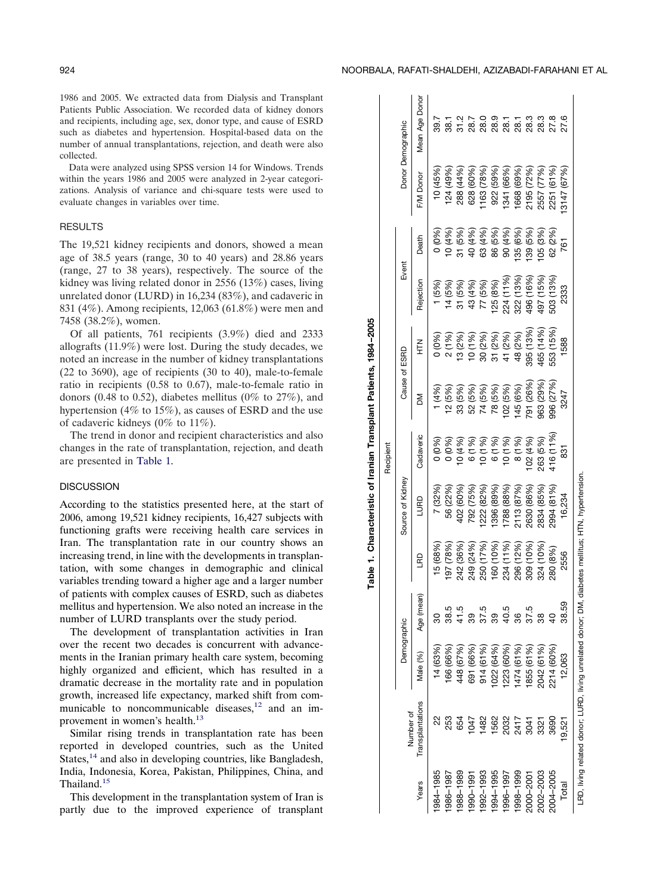1986 and 2005. We extracted data from Dialysis and Transplant Patients Public Association. We recorded data of kidney donors and recipients, including age, sex, donor type, and cause of ESRD such as diabetes and hypertension. Hospital-based data on the number of annual transplantations, rejection, and death were also collected.

Data were analyzed using SPSS version 14 for Windows. Trends within the years 1986 and 2005 were analyzed in 2-year categorizations. Analysis of variance and chi-square tests were used to evaluate changes in variables over time.

## RESULTS

The 19,521 kidney recipients and donors, showed a mean age of 38.5 years (range, 30 to 40 years) and 28.86 years (range, 27 to 38 years), respectively. The source of the kidney was living related donor in 2556 (13%) cases, living unrelated donor (LURD) in 16,234 (83%), and cadaveric in 831 (4%). Among recipients, 12,063 (61.8%) were men and 7458 (38.2%), women.

Of all patients, 761 recipients (3.9%) died and 2333 allografts (11.9%) were lost. During the study decades, we noted an increase in the number of kidney transplantations (22 to 3690), age of recipients (30 to 40), male-to-female ratio in recipients (0.58 to 0.67), male-to-female ratio in donors (0.48 to 0.52), diabetes mellitus (0% to 27%), and hypertension (4% to 15%), as causes of ESRD and the use of cadaveric kidneys (0% to 11%).

The trend in donor and recipient characteristics and also changes in the rate of transplantation, rejection, and death are presented in Table 1.

#### **DISCUSSION**

According to the statistics presented here, at the start of 2006, among 19,521 kidney recipients, 16,427 subjects with functioning grafts were receiving health care services in Iran. The transplantation rate in our country shows an increasing trend, in line with the developments in transplantation, with some changes in demographic and clinical variables trending toward a higher age and a larger number of patients with complex causes of ESRD, such as diabetes mellitus and hypertension. We also noted an increase in the number of LURD transplants over the study period.

The development of transplantation activities in Iran over the recent two decades is concurrent with advancements in the Iranian primary health care system, becoming highly organized and efficient, which has resulted in a dramatic decrease in the mortality rate and in population growth, increased life expectancy, marked shift from communicable to noncommunicable diseases, $12$  and an improvement in women's health.<sup>13</sup>

Similar rising trends in transplantation rate has been reported in developed countries, such as the United States,<sup>14</sup> and also in developing countries, like Bangladesh, India, Indonesia, Korea, Pakistan, Philippines, China, and Thailand.<sup>15</sup>

This development in the transplantation system of Iran is partly due to the improved experience of transplant

|           |                                                                                                    |             |            |           |                  | Recipient |               |           |                      |          |               |                   |
|-----------|----------------------------------------------------------------------------------------------------|-------------|------------|-----------|------------------|-----------|---------------|-----------|----------------------|----------|---------------|-------------------|
|           | Number of                                                                                          | Demographic |            |           | Source of Kidney |           | Cause of ESRD |           | Event                |          |               | Donor Demographic |
| Years     | Transplantations                                                                                   | Male (%)    | Age (mean) | g         | <b>OHD</b>       | Cadaveric | ≅             | 로<br>도    | Rejection            | Death    | F/M Donor     | Mean Age Dono     |
| 984-1985  |                                                                                                    | 14 (63%)    |            | 5 (68%)   | (32%)            | 0%) (     | (4%           | 0%)       | (5%)                 | 0 (0%)   | 10 (45%)      | 39.7              |
| 986-1987  | 253                                                                                                | 166 (66%)   | 38.5       | 882 16    | 56 (22%)         | 0 (0%)    | 12 (5%)       | 2 (1%)    | 14 (5%)              | 10(4%)   | 124 (49%)     | 38.T              |
| 988-1989  | 654                                                                                                | 448 (67%)   | 41.5       | 242 (36%  | 402 (60%         | 10(4%)    | 33 (5%)       | 13 (2%)   | 31 (5%               | 31 (5%)  | 288 (44%)     | 31.2              |
| 990-1991  | $\overline{5}$                                                                                     | 691 (66%)   | ශී         | 249 (24%  | 792 (75%)        | 6 (1%)    | 52 (5%)       | 10 (1 %)  | (4%<br>$\frac{3}{4}$ | 40 (4 %) | 628 (60%)     | 28.7              |
| 992-1993  | 1482                                                                                               | 914 (61%)   | 37.5       | 250 (17%) | 222 (82%)        | 10(1%)    | 74 (5%)       | 30 (2%)   | 77 (5%)              | 63 (4%)  | 163 (78%)     | 28.C              |
| 994-1995  | 1562                                                                                               | 022 (64%)   | 89         | 160 (10%) | 396 (89%)        | 6 (1%)    | 78 (5%)       | 31 (2%)   | 25 (8%)              | 86 (5%)  | 922 (59%)     | 28.9              |
| 996-1997  | 2032                                                                                               | 223 (60%)   | 40.5       | 234 (11%) | 788 (88%)        | 10(1%     | 102 (5%)      | 41 (2%)   | 224 (11%)            | 90 (4%)  | 1341 (66%)    | 28.1              |
| 998-1999  | 2417                                                                                               | 474 (61%)   | 36         | 296 (12%) | 113 (87%)        | 8 (1%)    | 45 (6%)       | 48 (2%)   | 322 (13%)            | 135 (6%) | 1668 (69%)    | 28.1              |
| 000-2001  | 3041                                                                                               | 855 (61%)   | 37.5       | 10%%      | <b>630 (86%)</b> | 02 (4%)   | 791 (26%)     | 395 (13%) | 196 (16%)            | 39 (5%)  | 2195 (72%)    | 28.3              |
| 002-2003  | 3321                                                                                               | 2042 (61%)  | 38         | 324 (10%) | 834 (85%)        | 263 (5%)  | 963 (29%)     | 465 (14%) | 497 (15%             | 05 (3%)  | 2557 (77%)    | 28.3              |
| 2004–2005 | 3690                                                                                               | 2214 (60%)  |            | 280 (8%)  | 2994 (81%        | 116 (11%  | 996 (27%)     | 553 (15%  | 503 (13%             | 62 (2%)  | (61%)<br>2251 | 27.8              |
| Total     | 19,521                                                                                             | 12,063      | 38.5       | 2556      | 16,234           | 831       | 3247          | 588       | 2333                 | 761      | 3147 (67%)    | 27.6              |
|           | LRD, living related donor; LURD, living unrelated donor; DM, diabetes mellitus; HTN, hypertension. |             |            |           |                  |           |               |           |                      |          |               |                   |

**Table 1. Characteristic of Iranian Transplant Patients, 1984 –2005**

Table 1. Characteristic of Iranian Transplant Patients, 1984-2005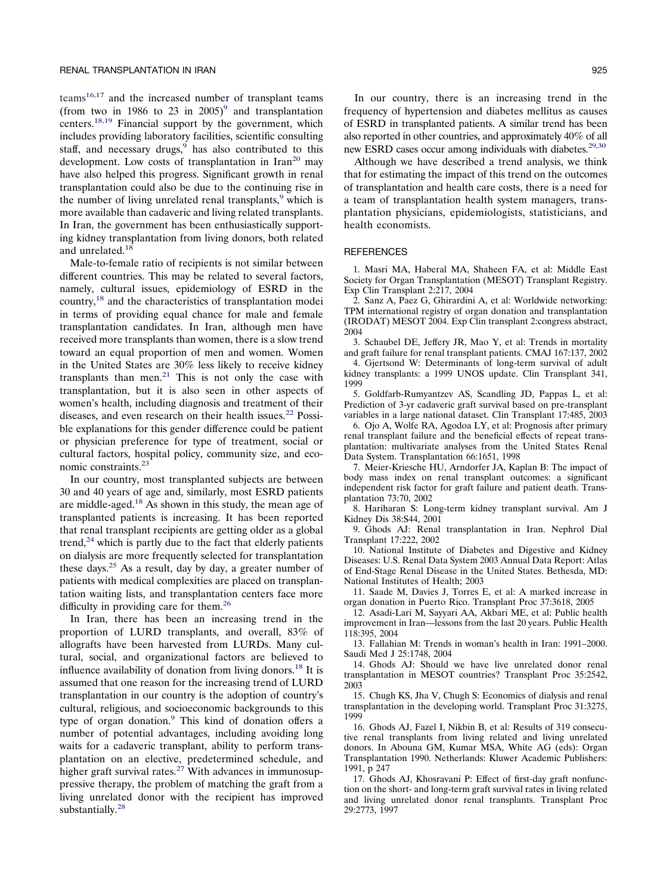<span id="page-2-0"></span> $t$ eams<sup>16,17</sup> and the increased number of transplant teams (from two in 1986 to 23 in 2005)<sup>9</sup> and transplantation centers[.18,19](#page-3-0) Financial support by the government, which includes providing laboratory facilities, scientific consulting staff, and necessary drugs,  $9$  has also contributed to this development. Low costs of transplantation in  $\text{Iran}^{20}$  may have also helped this progress. Significant growth in renal transplantation could also be due to the continuing rise in the number of living unrelated renal transplants,<sup>9</sup> which is more available than cadaveric and living related transplants. In Iran, the government has been enthusiastically supporting kidney transplantation from living donors, both related and unrelated.<sup>18</sup>

Male-to-female ratio of recipients is not similar between different countries. This may be related to several factors, namely, cultural issues, epidemiology of ESRD in the country[,18](#page-3-0) and the characteristics of transplantation modei in terms of providing equal chance for male and female transplantation candidates. In Iran, although men have received more transplants than women, there is a slow trend toward an equal proportion of men and women. Women in the United States are 30% less likely to receive kidney transplants than men. $21$  This is not only the case with transplantation, but it is also seen in other aspects of women's health, including diagnosis and treatment of their diseases, and even research on their health issues.<sup>22</sup> Possible explanations for this gender difference could be patient or physician preference for type of treatment, social or cultural factors, hospital policy, community size, and economic constraints[.23](#page-3-0)

In our country, most transplanted subjects are between 30 and 40 years of age and, similarly, most ESRD patients are middle-aged[.18](#page-3-0) As shown in this study, the mean age of transplanted patients is increasing. It has been reported that renal transplant recipients are getting older as a global trend, $24$  which is partly due to the fact that elderly patients on dialysis are more frequently selected for transplantation these days.<sup>25</sup> As a result, day by day, a greater number of patients with medical complexities are placed on transplantation waiting lists, and transplantation centers face more difficulty in providing care for them.<sup>26</sup>

In Iran, there has been an increasing trend in the proportion of LURD transplants, and overall, 83% of allografts have been harvested from LURDs. Many cultural, social, and organizational factors are believed to influence availability of donation from living donors.<sup>18</sup> It is assumed that one reason for the increasing trend of LURD transplantation in our country is the adoption of country's cultural, religious, and socioeconomic backgrounds to this type of organ donation.<sup>9</sup> This kind of donation offers a number of potential advantages, including avoiding long waits for a cadaveric transplant, ability to perform transplantation on an elective, predetermined schedule, and higher graft survival rates.<sup>27</sup> With advances in immunosuppressive therapy, the problem of matching the graft from a living unrelated donor with the recipient has improved substantially.<sup>28</sup>

In our country, there is an increasing trend in the frequency of hypertension and diabetes mellitus as causes of ESRD in transplanted patients. A similar trend has been also reported in other countries, and approximately 40% of all new ESRD cases occur among individuals with diabetes.<sup>29,30</sup>

Although we have described a trend analysis, we think that for estimating the impact of this trend on the outcomes of transplantation and health care costs, there is a need for a team of transplantation health system managers, transplantation physicians, epidemiologists, statisticians, and health economists.

#### **REFERENCES**

1. Masri MA, Haberal MA, Shaheen FA, et al: Middle East Society for Organ Transplantation (MESOT) Transplant Registry. Exp Clin Transplant 2:217, 2004

2. Sanz A, Paez G, Ghirardini A, et al: Worldwide networking: TPM international registry of organ donation and transplantation (IRODAT) MESOT 2004. Exp Clin transplant 2:congress abstract, 2004

3. Schaubel DE, Jeffery JR, Mao Y, et al: Trends in mortality and graft failure for renal transplant patients. CMAJ 167:137, 2002

4. Gjertsond W: Determinants of long-term survival of adult kidney transplants: a 1999 UNOS update. Clin Transplant 341, 1999

5. Goldfarb-Rumyantzev AS, Scandling JD, Pappas L, et al: Prediction of 3-yr cadaveric graft survival based on pre-transplant variables in a large national dataset. Clin Transplant 17:485, 2003

6. Ojo A, Wolfe RA, Agodoa LY, et al: Prognosis after primary renal transplant failure and the beneficial effects of repeat transplantation: multivariate analyses from the United States Renal Data System. Transplantation 66:1651, 1998

7. Meier-Kriesche HU, Arndorfer JA, Kaplan B: The impact of body mass index on renal transplant outcomes: a significant independent risk factor for graft failure and patient death. Transplantation 73:70, 2002

8. Hariharan S: Long-term kidney transplant survival. Am J Kidney Dis 38:S44, 2001

9. Ghods AJ: Renal transplantation in Iran. Nephrol Dial Transplant 17:222, 2002

10. National Institute of Diabetes and Digestive and Kidney Diseases: U.S. Renal Data System 2003 Annual Data Report: Atlas of End-Stage Renal Disease in the United States. Bethesda, MD: National Institutes of Health; 2003

11. Saade M, Davies J, Torres E, et al: A marked increase in organ donation in Puerto Rico. Transplant Proc 37:3618, 2005

12. Asadi-Lari M, Sayyari AA, Akbari ME, et al: Public health improvement in Iran—lessons from the last 20 years. Public Health 118:395, 2004

13. Fallahian M: Trends in woman's health in Iran: 1991–2000. Saudi Med J 25:1748, 2004

14. Ghods AJ: Should we have live unrelated donor renal transplantation in MESOT countries? Transplant Proc 35:2542, 2003

15. Chugh KS, Jha V, Chugh S: Economics of dialysis and renal transplantation in the developing world. Transplant Proc 31:3275, 1999

16. Ghods AJ, Fazel I, Nikbin B, et al: Results of 319 consecutive renal transplants from living related and living unrelated donors. In Abouna GM, Kumar MSA, White AG (eds): Organ Transplantation 1990. Netherlands: Kluwer Academic Publishers: 1991, p 247

17. Ghods AJ, Khosravani P: Effect of first-day graft nonfunction on the short- and long-term graft survival rates in living related and living unrelated donor renal transplants. Transplant Proc 29:2773, 1997